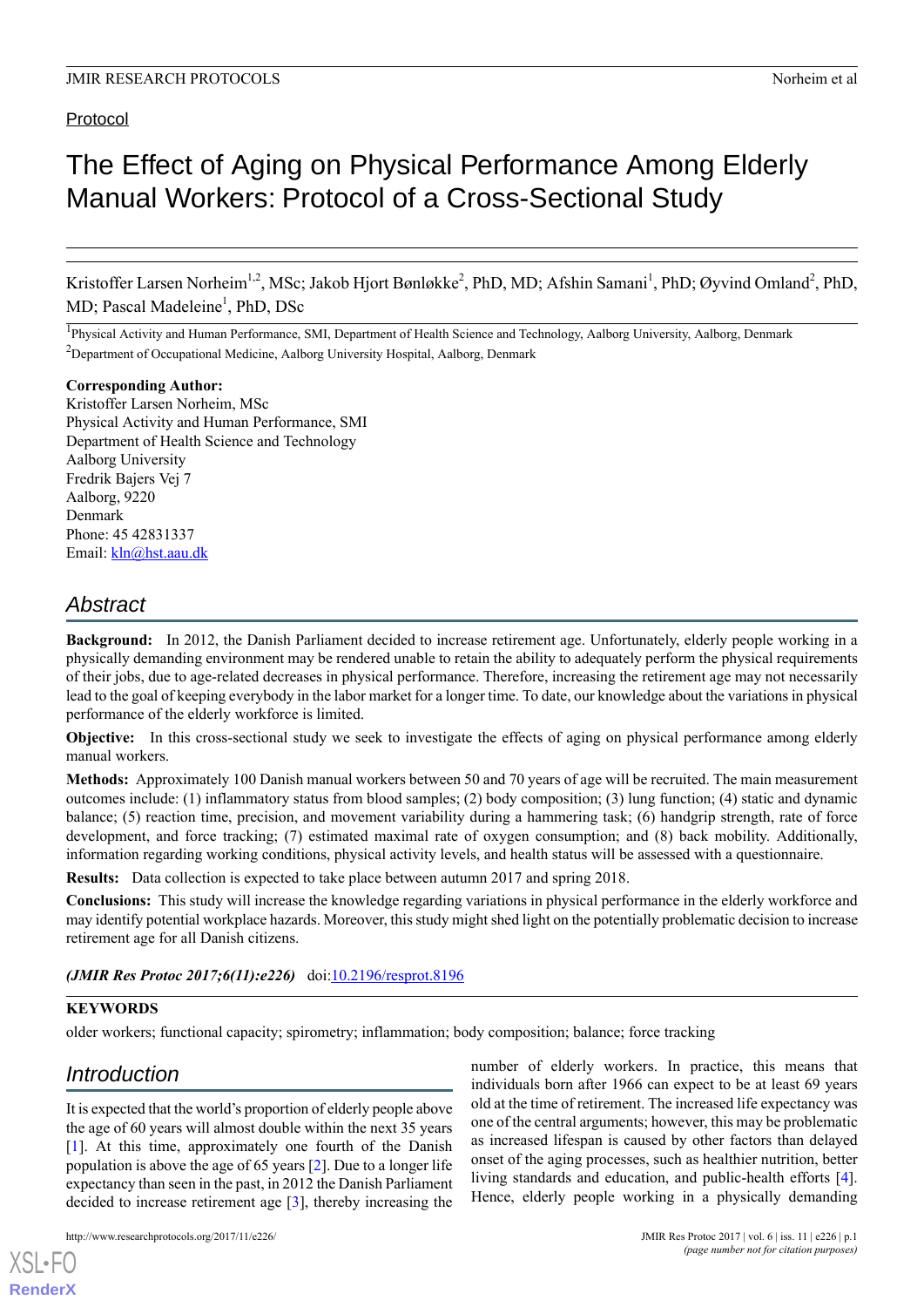# Protocol

# The Effect of Aging on Physical Performance Among Elderly Manual Workers: Protocol of a Cross-Sectional Study

Kristoffer Larsen Norheim<sup>1,2</sup>, MSc; Jakob Hjort Bønløkke<sup>2</sup>, PhD, MD; Afshin Samani<sup>1</sup>, PhD; Øyvind Omland<sup>2</sup>, PhD, MD; Pascal Madeleine<sup>1</sup>, PhD, DSc

<sup>1</sup>Physical Activity and Human Performance, SMI, Department of Health Science and Technology, Aalborg University, Aalborg, Denmark <sup>2</sup>Department of Occupational Medicine, Aalborg University Hospital, Aalborg, Denmark

# **Corresponding Author:**

Kristoffer Larsen Norheim, MSc Physical Activity and Human Performance, SMI Department of Health Science and Technology Aalborg University Fredrik Bajers Vej 7 Aalborg, 9220 Denmark Phone: 45 42831337 Email: [kln@hst.aau.dk](mailto:kln@hst.aau.dk)

# *Abstract*

**Background:** In 2012, the Danish Parliament decided to increase retirement age. Unfortunately, elderly people working in a physically demanding environment may be rendered unable to retain the ability to adequately perform the physical requirements of their jobs, due to age-related decreases in physical performance. Therefore, increasing the retirement age may not necessarily lead to the goal of keeping everybody in the labor market for a longer time. To date, our knowledge about the variations in physical performance of the elderly workforce is limited.

**Objective:** In this cross-sectional study we seek to investigate the effects of aging on physical performance among elderly manual workers.

**Methods:** Approximately 100 Danish manual workers between 50 and 70 years of age will be recruited. The main measurement outcomes include: (1) inflammatory status from blood samples; (2) body composition; (3) lung function; (4) static and dynamic balance; (5) reaction time, precision, and movement variability during a hammering task; (6) handgrip strength, rate of force development, and force tracking; (7) estimated maximal rate of oxygen consumption; and (8) back mobility. Additionally, information regarding working conditions, physical activity levels, and health status will be assessed with a questionnaire.

**Results:** Data collection is expected to take place between autumn 2017 and spring 2018.

**Conclusions:** This study will increase the knowledge regarding variations in physical performance in the elderly workforce and may identify potential workplace hazards. Moreover, this study might shed light on the potentially problematic decision to increase retirement age for all Danish citizens.

# *(JMIR Res Protoc 2017;6(11):e226)* doi:[10.2196/resprot.8196](http://dx.doi.org/10.2196/resprot.8196)

# **KEYWORDS**

older workers; functional capacity; spirometry; inflammation; body composition; balance; force tracking

# *Introduction*

[XSL](http://www.w3.org/Style/XSL)•FO **[RenderX](http://www.renderx.com/)**

It is expected that the world's proportion of elderly people above the age of 60 years will almost double within the next 35 years [[1\]](#page-6-0). At this time, approximately one fourth of the Danish population is above the age of 65 years [\[2](#page-6-1)]. Due to a longer life expectancy than seen in the past, in 2012 the Danish Parliament decided to increase retirement age [\[3](#page-6-2)], thereby increasing the number of elderly workers. In practice, this means that individuals born after 1966 can expect to be at least 69 years old at the time of retirement. The increased life expectancy was one of the central arguments; however, this may be problematic as increased lifespan is caused by other factors than delayed onset of the aging processes, such as healthier nutrition, better living standards and education, and public-health efforts [[4\]](#page-6-3). Hence, elderly people working in a physically demanding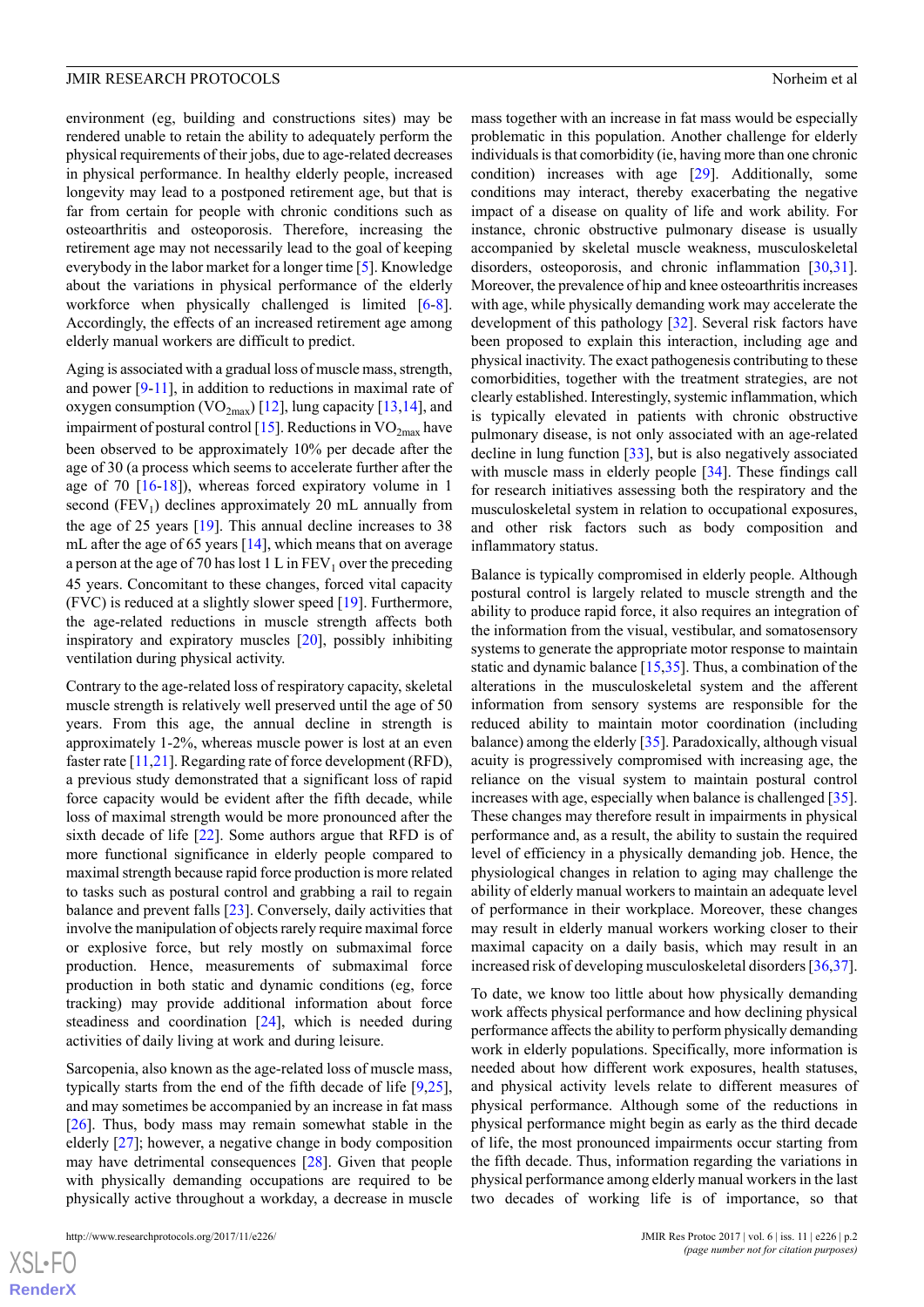environment (eg, building and constructions sites) may be rendered unable to retain the ability to adequately perform the physical requirements of their jobs, due to age-related decreases in physical performance. In healthy elderly people, increased longevity may lead to a postponed retirement age, but that is far from certain for people with chronic conditions such as osteoarthritis and osteoporosis. Therefore, increasing the retirement age may not necessarily lead to the goal of keeping everybody in the labor market for a longer time [[5\]](#page-6-4). Knowledge about the variations in physical performance of the elderly workforce when physically challenged is limited [\[6-](#page-6-5)[8\]](#page-6-6). Accordingly, the effects of an increased retirement age among elderly manual workers are difficult to predict.

Aging is associated with a gradual loss of muscle mass, strength, and power [[9-](#page-6-7)[11\]](#page-6-8), in addition to reductions in maximal rate of oxygen consumption (VO<sub>2max</sub>) [\[12](#page-6-9)], lung capacity [[13,](#page-6-10)[14](#page-6-11)], and impairment of postural control [\[15](#page-6-12)]. Reductions in  $VO_{2max}$  have been observed to be approximately 10% per decade after the age of 30 (a process which seems to accelerate further after the age of 70  $[16-18]$  $[16-18]$  $[16-18]$ , whereas forced expiratory volume in 1 second  $(FEV_1)$  declines approximately 20 mL annually from the age of 25 years [\[19](#page-6-15)]. This annual decline increases to 38 mL after the age of 65 years [[14\]](#page-6-11), which means that on average a person at the age of 70 has lost  $1 L$  in  $FEV<sub>1</sub>$  over the preceding 45 years. Concomitant to these changes, forced vital capacity (FVC) is reduced at a slightly slower speed [[19\]](#page-6-15). Furthermore, the age-related reductions in muscle strength affects both inspiratory and expiratory muscles [[20\]](#page-6-16), possibly inhibiting ventilation during physical activity.

Contrary to the age-related loss of respiratory capacity, skeletal muscle strength is relatively well preserved until the age of 50 years. From this age, the annual decline in strength is approximately 1-2%, whereas muscle power is lost at an even faster rate [[11](#page-6-8),[21\]](#page-6-17). Regarding rate of force development (RFD), a previous study demonstrated that a significant loss of rapid force capacity would be evident after the fifth decade, while loss of maximal strength would be more pronounced after the sixth decade of life [\[22](#page-6-18)]. Some authors argue that RFD is of more functional significance in elderly people compared to maximal strength because rapid force production is more related to tasks such as postural control and grabbing a rail to regain balance and prevent falls [[23\]](#page-6-19). Conversely, daily activities that involve the manipulation of objects rarely require maximal force or explosive force, but rely mostly on submaximal force production. Hence, measurements of submaximal force production in both static and dynamic conditions (eg, force tracking) may provide additional information about force steadiness and coordination [\[24](#page-6-20)], which is needed during activities of daily living at work and during leisure.

Sarcopenia, also known as the age-related loss of muscle mass, typically starts from the end of the fifth decade of life [\[9](#page-6-7),[25\]](#page-6-21), and may sometimes be accompanied by an increase in fat mass [[26\]](#page-7-0). Thus, body mass may remain somewhat stable in the elderly [\[27](#page-7-1)]; however, a negative change in body composition may have detrimental consequences [\[28](#page-7-2)]. Given that people with physically demanding occupations are required to be physically active throughout a workday, a decrease in muscle mass together with an increase in fat mass would be especially problematic in this population. Another challenge for elderly individuals is that comorbidity (ie, having more than one chronic condition) increases with age [[29\]](#page-7-3). Additionally, some conditions may interact, thereby exacerbating the negative impact of a disease on quality of life and work ability. For instance, chronic obstructive pulmonary disease is usually accompanied by skeletal muscle weakness, musculoskeletal disorders, osteoporosis, and chronic inflammation [\[30](#page-7-4),[31\]](#page-7-5). Moreover, the prevalence of hip and knee osteoarthritis increases with age, while physically demanding work may accelerate the development of this pathology [[32\]](#page-7-6). Several risk factors have been proposed to explain this interaction, including age and physical inactivity. The exact pathogenesis contributing to these comorbidities, together with the treatment strategies, are not clearly established. Interestingly, systemic inflammation, which is typically elevated in patients with chronic obstructive pulmonary disease, is not only associated with an age-related decline in lung function [\[33](#page-7-7)], but is also negatively associated with muscle mass in elderly people [[34\]](#page-7-8). These findings call for research initiatives assessing both the respiratory and the musculoskeletal system in relation to occupational exposures, and other risk factors such as body composition and inflammatory status.

Balance is typically compromised in elderly people. Although postural control is largely related to muscle strength and the ability to produce rapid force, it also requires an integration of the information from the visual, vestibular, and somatosensory systems to generate the appropriate motor response to maintain static and dynamic balance [\[15](#page-6-12),[35\]](#page-7-9). Thus, a combination of the alterations in the musculoskeletal system and the afferent information from sensory systems are responsible for the reduced ability to maintain motor coordination (including balance) among the elderly [[35\]](#page-7-9). Paradoxically, although visual acuity is progressively compromised with increasing age, the reliance on the visual system to maintain postural control increases with age, especially when balance is challenged [[35\]](#page-7-9). These changes may therefore result in impairments in physical performance and, as a result, the ability to sustain the required level of efficiency in a physically demanding job. Hence, the physiological changes in relation to aging may challenge the ability of elderly manual workers to maintain an adequate level of performance in their workplace. Moreover, these changes may result in elderly manual workers working closer to their maximal capacity on a daily basis, which may result in an increased risk of developing musculoskeletal disorders [\[36](#page-7-10),[37\]](#page-7-11).

To date, we know too little about how physically demanding work affects physical performance and how declining physical performance affects the ability to perform physically demanding work in elderly populations. Specifically, more information is needed about how different work exposures, health statuses, and physical activity levels relate to different measures of physical performance. Although some of the reductions in physical performance might begin as early as the third decade of life, the most pronounced impairments occur starting from the fifth decade. Thus, information regarding the variations in physical performance among elderly manual workers in the last two decades of working life is of importance, so that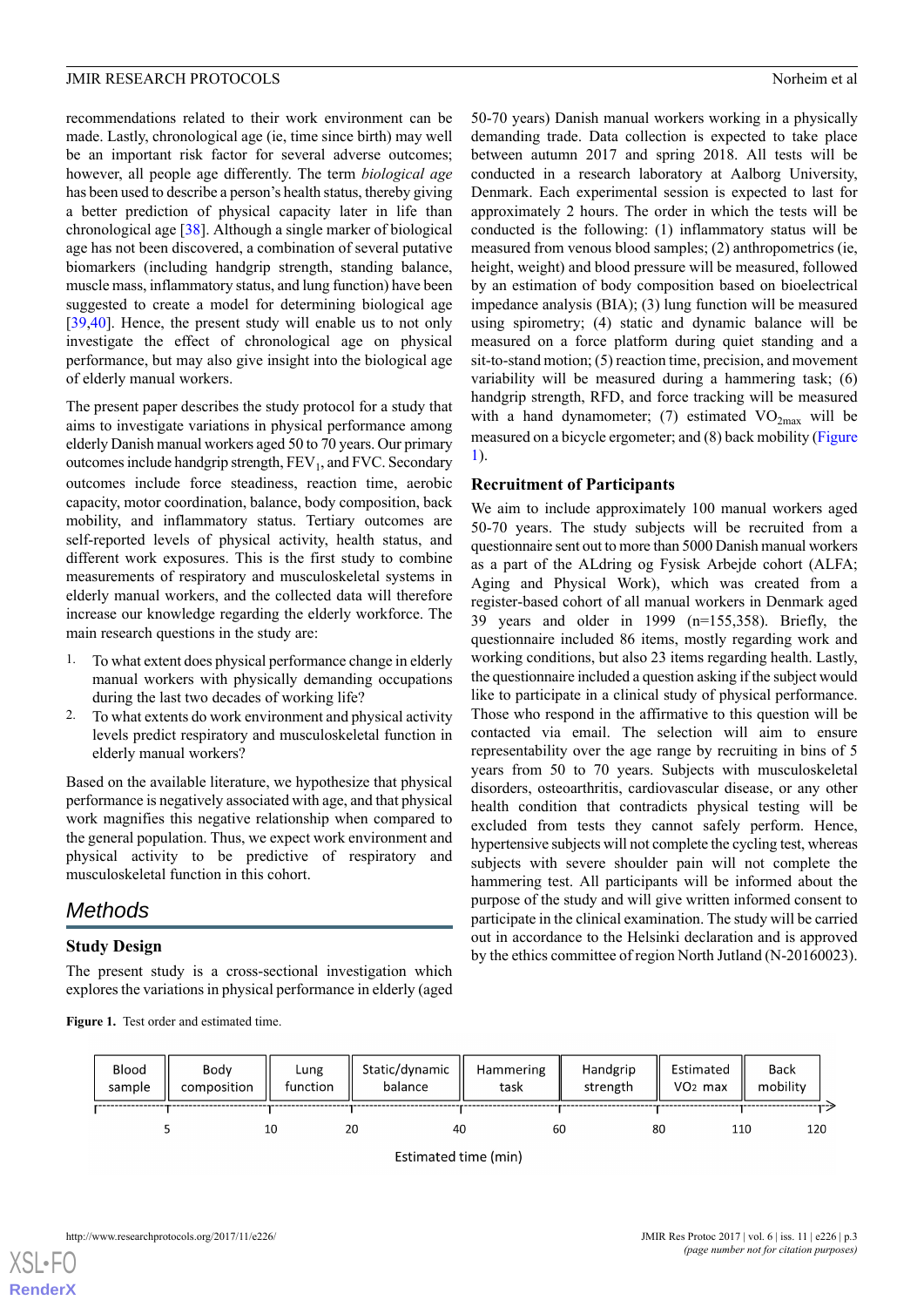recommendations related to their work environment can be made. Lastly, chronological age (ie, time since birth) may well be an important risk factor for several adverse outcomes; however, all people age differently. The term *biological age* has been used to describe a person's health status, thereby giving a better prediction of physical capacity later in life than chronological age [\[38](#page-7-12)]. Although a single marker of biological age has not been discovered, a combination of several putative biomarkers (including handgrip strength, standing balance, muscle mass, inflammatory status, and lung function) have been suggested to create a model for determining biological age [[39](#page-7-13)[,40](#page-7-14)]. Hence, the present study will enable us to not only investigate the effect of chronological age on physical performance, but may also give insight into the biological age of elderly manual workers.

The present paper describes the study protocol for a study that aims to investigate variations in physical performance among elderly Danish manual workers aged 50 to 70 years. Our primary outcomes include handgrip strength,  $FEV<sub>1</sub>$ , and  $FVC$ . Secondary outcomes include force steadiness, reaction time, aerobic capacity, motor coordination, balance, body composition, back mobility, and inflammatory status. Tertiary outcomes are self-reported levels of physical activity, health status, and different work exposures. This is the first study to combine measurements of respiratory and musculoskeletal systems in elderly manual workers, and the collected data will therefore increase our knowledge regarding the elderly workforce. The main research questions in the study are:

- 1. To what extent does physical performance change in elderly manual workers with physically demanding occupations during the last two decades of working life?
- 2. To what extents do work environment and physical activity levels predict respiratory and musculoskeletal function in elderly manual workers?

Based on the available literature, we hypothesize that physical performance is negatively associated with age, and that physical work magnifies this negative relationship when compared to the general population. Thus, we expect work environment and physical activity to be predictive of respiratory and musculoskeletal function in this cohort.

# <span id="page-2-0"></span>*Methods*

# **Study Design**

The present study is a cross-sectional investigation which explores the variations in physical performance in elderly (aged 50-70 years) Danish manual workers working in a physically demanding trade. Data collection is expected to take place between autumn 2017 and spring 2018. All tests will be conducted in a research laboratory at Aalborg University, Denmark. Each experimental session is expected to last for approximately 2 hours. The order in which the tests will be conducted is the following: (1) inflammatory status will be measured from venous blood samples; (2) anthropometrics (ie, height, weight) and blood pressure will be measured, followed by an estimation of body composition based on bioelectrical impedance analysis (BIA); (3) lung function will be measured using spirometry; (4) static and dynamic balance will be measured on a force platform during quiet standing and a sit-to-stand motion; (5) reaction time, precision, and movement variability will be measured during a hammering task; (6) handgrip strength, RFD, and force tracking will be measured with a hand dynamometer; (7) estimated  $VO_{2max}$  will be measured on a bicycle ergometer; and (8) back mobility ([Figure](#page-2-0) [1\)](#page-2-0).

# **Recruitment of Participants**

We aim to include approximately 100 manual workers aged 50-70 years. The study subjects will be recruited from a questionnaire sent out to more than 5000 Danish manual workers as a part of the ALdring og Fysisk Arbejde cohort (ALFA; Aging and Physical Work), which was created from a register-based cohort of all manual workers in Denmark aged 39 years and older in 1999 (n=155,358). Briefly, the questionnaire included 86 items, mostly regarding work and working conditions, but also 23 items regarding health. Lastly, the questionnaire included a question asking if the subject would like to participate in a clinical study of physical performance. Those who respond in the affirmative to this question will be contacted via email. The selection will aim to ensure representability over the age range by recruiting in bins of 5 years from 50 to 70 years. Subjects with musculoskeletal disorders, osteoarthritis, cardiovascular disease, or any other health condition that contradicts physical testing will be excluded from tests they cannot safely perform. Hence, hypertensive subjects will not complete the cycling test, whereas subjects with severe shoulder pain will not complete the hammering test. All participants will be informed about the purpose of the study and will give written informed consent to participate in the clinical examination. The study will be carried out in accordance to the Helsinki declaration and is approved by the ethics committee of region North Jutland (N-20160023).

Figure 1. Test order and estimated time.

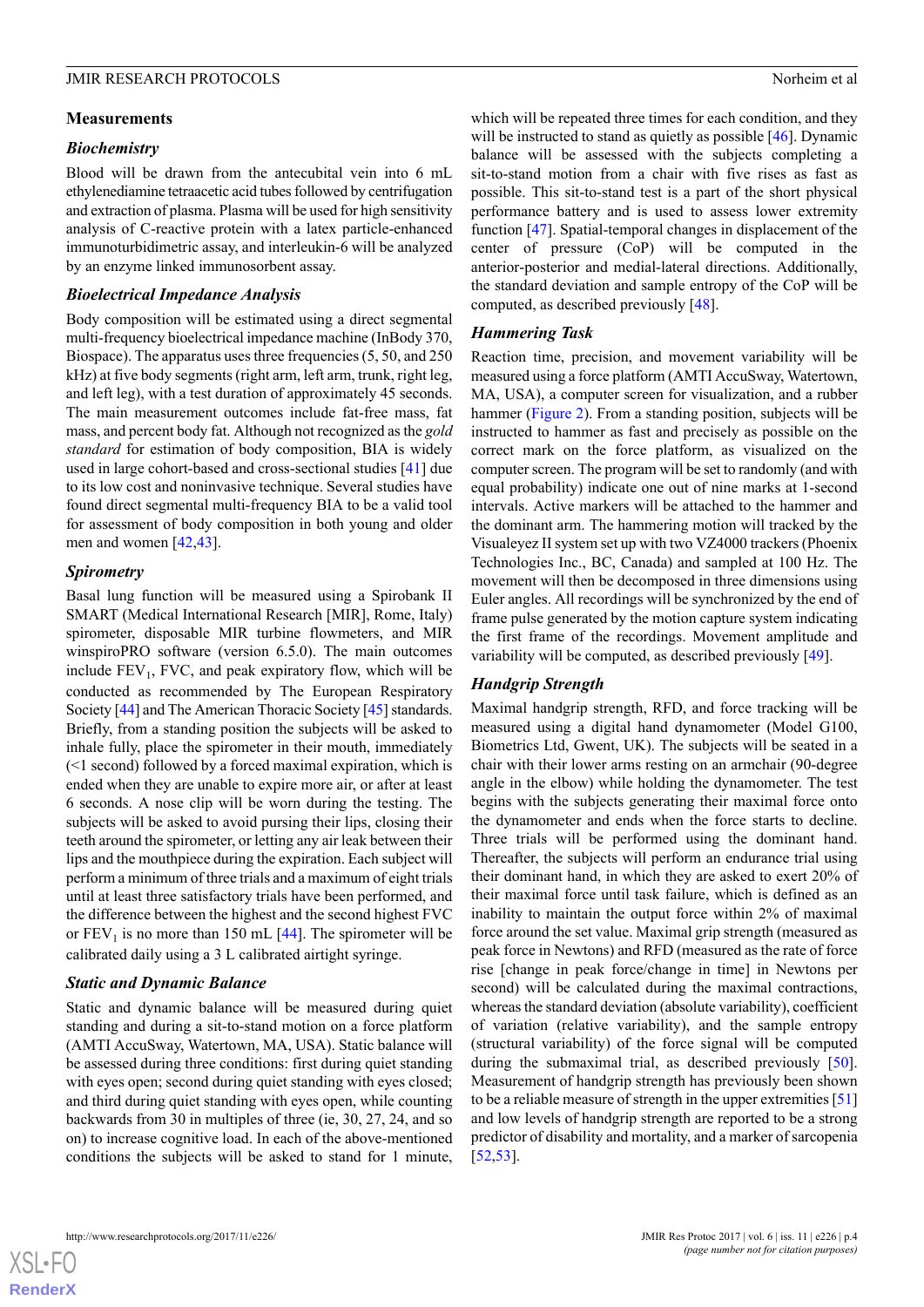#### **Measurements**

#### *Biochemistry*

Blood will be drawn from the antecubital vein into 6 mL ethylenediamine tetraacetic acid tubes followed by centrifugation and extraction of plasma. Plasma will be used for high sensitivity analysis of C-reactive protein with a latex particle-enhanced immunoturbidimetric assay, and interleukin-6 will be analyzed by an enzyme linked immunosorbent assay.

#### *Bioelectrical Impedance Analysis*

Body composition will be estimated using a direct segmental multi-frequency bioelectrical impedance machine (InBody 370, Biospace). The apparatus uses three frequencies (5, 50, and 250 kHz) at five body segments (right arm, left arm, trunk, right leg, and left leg), with a test duration of approximately 45 seconds. The main measurement outcomes include fat-free mass, fat mass, and percent body fat. Although not recognized as the *gold standard* for estimation of body composition, BIA is widely used in large cohort-based and cross-sectional studies [[41\]](#page-7-15) due to its low cost and noninvasive technique. Several studies have found direct segmental multi-frequency BIA to be a valid tool for assessment of body composition in both young and older men and women [\[42](#page-7-16),[43\]](#page-7-17).

### *Spirometry*

Basal lung function will be measured using a Spirobank II SMART (Medical International Research [MIR], Rome, Italy) spirometer, disposable MIR turbine flowmeters, and MIR winspiroPRO software (version 6.5.0). The main outcomes include  $FEV<sub>1</sub>$ , FVC, and peak expiratory flow, which will be conducted as recommended by The European Respiratory Society [\[44\]](#page-7-18) and The American Thoracic Society [\[45](#page-7-19)] standards. Briefly, from a standing position the subjects will be asked to inhale fully, place the spirometer in their mouth, immediately (<1 second) followed by a forced maximal expiration, which is ended when they are unable to expire more air, or after at least 6 seconds. A nose clip will be worn during the testing. The subjects will be asked to avoid pursing their lips, closing their teeth around the spirometer, or letting any air leak between their lips and the mouthpiece during the expiration. Each subject will perform a minimum of three trials and a maximum of eight trials until at least three satisfactory trials have been performed, and the difference between the highest and the second highest FVC or  $FEV<sub>1</sub>$  is no more than 150 mL  $[44]$  $[44]$ . The spirometer will be calibrated daily using a 3 L calibrated airtight syringe.

#### *Static and Dynamic Balance*

Static and dynamic balance will be measured during quiet standing and during a sit-to-stand motion on a force platform (AMTI AccuSway, Watertown, MA, USA). Static balance will be assessed during three conditions: first during quiet standing with eyes open; second during quiet standing with eyes closed; and third during quiet standing with eyes open, while counting backwards from 30 in multiples of three (ie, 30, 27, 24, and so on) to increase cognitive load. In each of the above-mentioned conditions the subjects will be asked to stand for 1 minute,

which will be repeated three times for each condition, and they will be instructed to stand as quietly as possible [\[46](#page-7-20)]. Dynamic balance will be assessed with the subjects completing a sit-to-stand motion from a chair with five rises as fast as possible. This sit-to-stand test is a part of the short physical performance battery and is used to assess lower extremity function [[47\]](#page-7-21). Spatial-temporal changes in displacement of the center of pressure (CoP) will be computed in the anterior-posterior and medial-lateral directions. Additionally, the standard deviation and sample entropy of the CoP will be computed, as described previously [[48\]](#page-7-22).

#### *Hammering Task*

Reaction time, precision, and movement variability will be measured using a force platform (AMTI AccuSway, Watertown, MA, USA), a computer screen for visualization, and a rubber hammer [\(Figure 2](#page-4-0)). From a standing position, subjects will be instructed to hammer as fast and precisely as possible on the correct mark on the force platform, as visualized on the computer screen. The program will be set to randomly (and with equal probability) indicate one out of nine marks at 1-second intervals. Active markers will be attached to the hammer and the dominant arm. The hammering motion will tracked by the Visualeyez II system set up with two VZ4000 trackers (Phoenix Technologies Inc., BC, Canada) and sampled at 100 Hz. The movement will then be decomposed in three dimensions using Euler angles. All recordings will be synchronized by the end of frame pulse generated by the motion capture system indicating the first frame of the recordings. Movement amplitude and variability will be computed, as described previously [\[49](#page-7-23)].

#### *Handgrip Strength*

Maximal handgrip strength, RFD, and force tracking will be measured using a digital hand dynamometer (Model G100, Biometrics Ltd, Gwent, UK). The subjects will be seated in a chair with their lower arms resting on an armchair (90-degree angle in the elbow) while holding the dynamometer. The test begins with the subjects generating their maximal force onto the dynamometer and ends when the force starts to decline. Three trials will be performed using the dominant hand. Thereafter, the subjects will perform an endurance trial using their dominant hand, in which they are asked to exert 20% of their maximal force until task failure, which is defined as an inability to maintain the output force within 2% of maximal force around the set value. Maximal grip strength (measured as peak force in Newtons) and RFD (measured as the rate of force rise [change in peak force/change in time] in Newtons per second) will be calculated during the maximal contractions, whereas the standard deviation (absolute variability), coefficient of variation (relative variability), and the sample entropy (structural variability) of the force signal will be computed during the submaximal trial, as described previously [[50\]](#page-8-0). Measurement of handgrip strength has previously been shown to be a reliable measure of strength in the upper extremities [[51](#page-8-1)] and low levels of handgrip strength are reported to be a strong predictor of disability and mortality, and a marker of sarcopenia [[52,](#page-8-2)[53\]](#page-8-3).

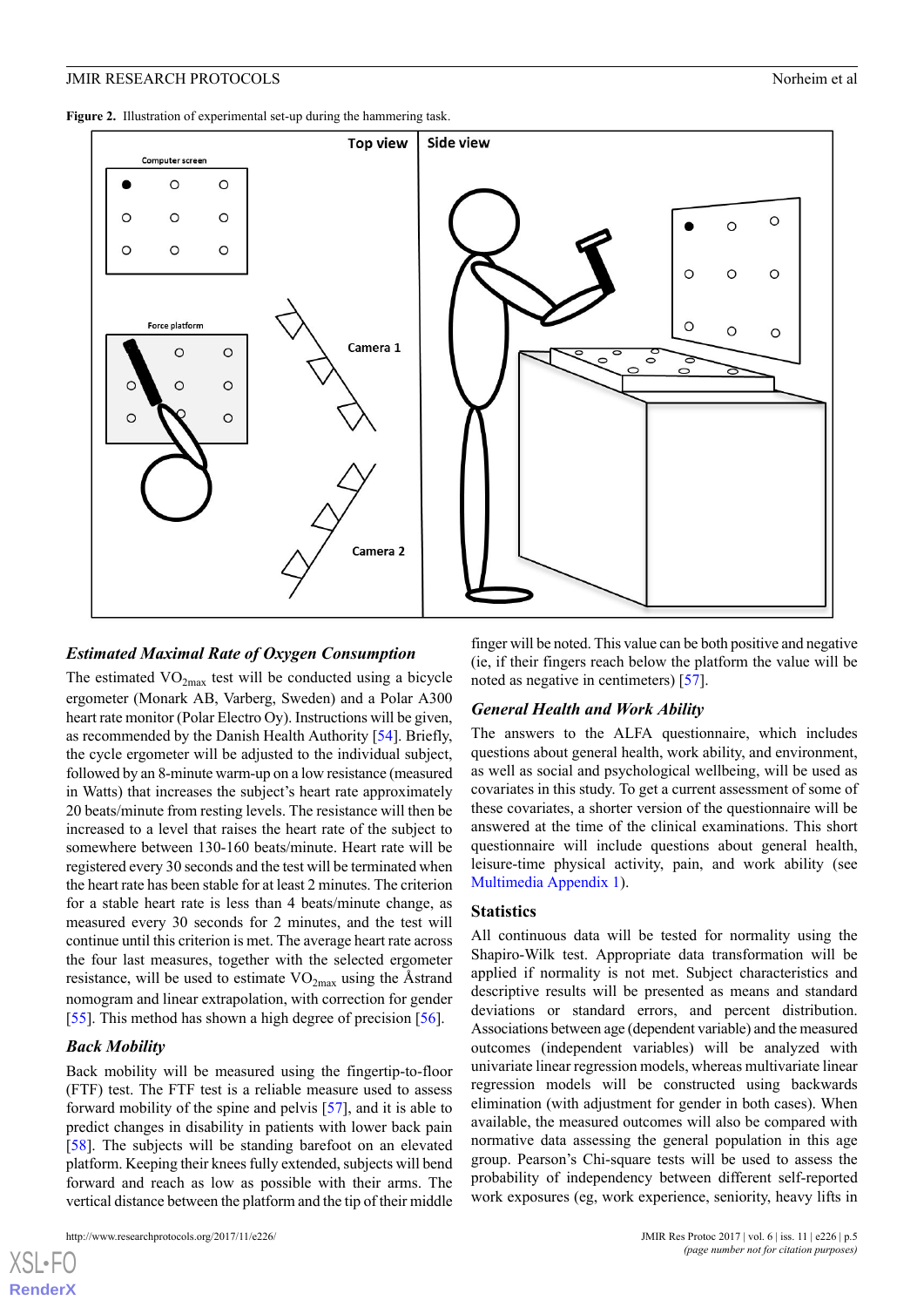<span id="page-4-0"></span>Figure 2. Illustration of experimental set-up during the hammering task.



#### *Estimated Maximal Rate of Oxygen Consumption*

The estimated  $VO<sub>2max</sub>$  test will be conducted using a bicycle ergometer (Monark AB, Varberg, Sweden) and a Polar A300 heart rate monitor (Polar Electro Oy). Instructions will be given, as recommended by the Danish Health Authority [\[54](#page-8-4)]. Briefly, the cycle ergometer will be adjusted to the individual subject, followed by an 8-minute warm-up on a low resistance (measured in Watts) that increases the subject's heart rate approximately 20 beats/minute from resting levels. The resistance will then be increased to a level that raises the heart rate of the subject to somewhere between 130-160 beats/minute. Heart rate will be registered every 30 seconds and the test will be terminated when the heart rate has been stable for at least 2 minutes. The criterion for a stable heart rate is less than 4 beats/minute change, as measured every 30 seconds for 2 minutes, and the test will continue until this criterion is met. The average heart rate across the four last measures, together with the selected ergometer resistance, will be used to estimate  $VO<sub>2max</sub>$  using the Åstrand nomogram and linear extrapolation, with correction for gender [[55\]](#page-8-5). This method has shown a high degree of precision [[56\]](#page-8-6).

#### *Back Mobility*

 $X$ SL•F **[RenderX](http://www.renderx.com/)**

Back mobility will be measured using the fingertip-to-floor (FTF) test. The FTF test is a reliable measure used to assess forward mobility of the spine and pelvis [[57\]](#page-8-7), and it is able to predict changes in disability in patients with lower back pain [[58\]](#page-8-8). The subjects will be standing barefoot on an elevated platform. Keeping their knees fully extended, subjects will bend forward and reach as low as possible with their arms. The vertical distance between the platform and the tip of their middle

finger will be noted. This value can be both positive and negative (ie, if their fingers reach below the platform the value will be noted as negative in centimeters) [[57\]](#page-8-7).

# *General Health and Work Ability*

The answers to the ALFA questionnaire, which includes questions about general health, work ability, and environment, as well as social and psychological wellbeing, will be used as covariates in this study. To get a current assessment of some of these covariates, a shorter version of the questionnaire will be answered at the time of the clinical examinations. This short questionnaire will include questions about general health, leisure-time physical activity, pain, and work ability (see [Multimedia Appendix 1\)](#page-5-0).

#### **Statistics**

All continuous data will be tested for normality using the Shapiro-Wilk test. Appropriate data transformation will be applied if normality is not met. Subject characteristics and descriptive results will be presented as means and standard deviations or standard errors, and percent distribution. Associations between age (dependent variable) and the measured outcomes (independent variables) will be analyzed with univariate linear regression models, whereas multivariate linear regression models will be constructed using backwards elimination (with adjustment for gender in both cases). When available, the measured outcomes will also be compared with normative data assessing the general population in this age group. Pearson's Chi-square tests will be used to assess the probability of independency between different self-reported work exposures (eg, work experience, seniority, heavy lifts in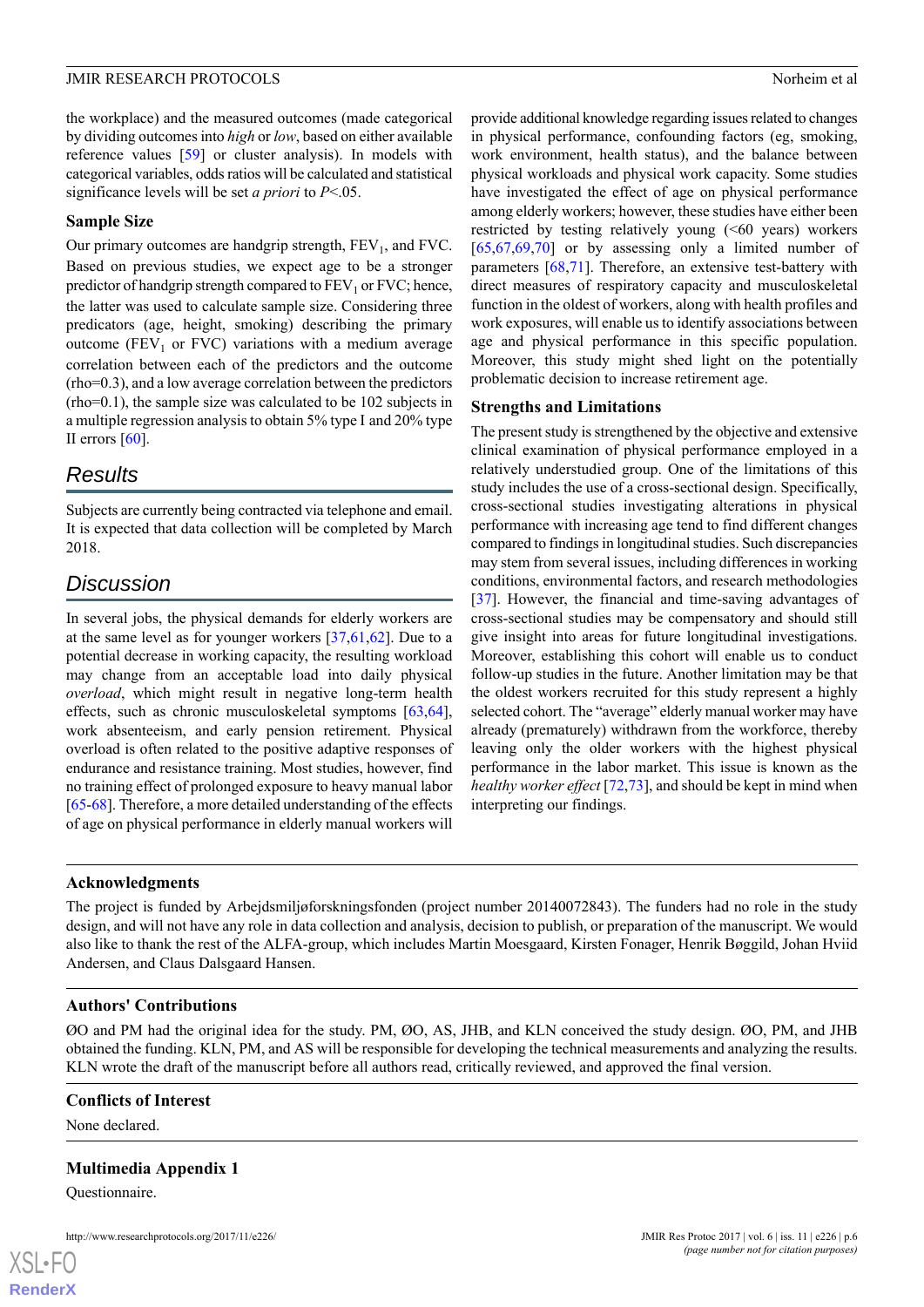provide additional knowledge regarding issues related to changes in physical performance, confounding factors (eg, smoking, work environment, health status), and the balance between physical workloads and physical work capacity. Some studies have investigated the effect of age on physical performance among elderly workers; however, these studies have either been restricted by testing relatively young (<60 years) workers  $[65,67,69,70]$  $[65,67,69,70]$  $[65,67,69,70]$  $[65,67,69,70]$  $[65,67,69,70]$  $[65,67,69,70]$  or by assessing only a limited number of parameters [\[68](#page-8-16),[71\]](#page-8-20). Therefore, an extensive test-battery with direct measures of respiratory capacity and musculoskeletal function in the oldest of workers, along with health profiles and work exposures, will enable us to identify associations between age and physical performance in this specific population. Moreover, this study might shed light on the potentially

problematic decision to increase retirement age.

The present study is strengthened by the objective and extensive clinical examination of physical performance employed in a relatively understudied group. One of the limitations of this study includes the use of a cross-sectional design. Specifically, cross-sectional studies investigating alterations in physical performance with increasing age tend to find different changes compared to findings in longitudinal studies. Such discrepancies may stem from several issues, including differences in working conditions, environmental factors, and research methodologies [[37\]](#page-7-11). However, the financial and time-saving advantages of cross-sectional studies may be compensatory and should still give insight into areas for future longitudinal investigations. Moreover, establishing this cohort will enable us to conduct follow-up studies in the future. Another limitation may be that the oldest workers recruited for this study represent a highly selected cohort. The "average" elderly manual worker may have already (prematurely) withdrawn from the workforce, thereby leaving only the older workers with the highest physical performance in the labor market. This issue is known as the *healthy worker effect* [\[72](#page-8-21),[73\]](#page-8-22), and should be kept in mind when

**Strengths and Limitations**

interpreting our findings.

the workplace) and the measured outcomes (made categorical by dividing outcomes into *high* or *low*, based on either available reference values [[59\]](#page-8-9) or cluster analysis). In models with categorical variables, odds ratios will be calculated and statistical significance levels will be set *a priori* to *P*<.05.

# **Sample Size**

Our primary outcomes are handgrip strength,  $FEV<sub>1</sub>$ , and  $FVC$ . Based on previous studies, we expect age to be a stronger predictor of handgrip strength compared to  $FEV<sub>1</sub>$  or  $FVC$ ; hence, the latter was used to calculate sample size. Considering three predicators (age, height, smoking) describing the primary outcome (FEV<sub>1</sub> or FVC) variations with a medium average correlation between each of the predictors and the outcome (rho=0.3), and a low average correlation between the predictors (rho=0.1), the sample size was calculated to be 102 subjects in a multiple regression analysis to obtain 5% type I and 20% type II errors [[60\]](#page-8-10).

# *Results*

Subjects are currently being contracted via telephone and email. It is expected that data collection will be completed by March 2018.

# *Discussion*

In several jobs, the physical demands for elderly workers are at the same level as for younger workers [\[37](#page-7-11),[61](#page-8-11)[,62](#page-8-12)]. Due to a potential decrease in working capacity, the resulting workload may change from an acceptable load into daily physical *overload*, which might result in negative long-term health effects, such as chronic musculoskeletal symptoms [\[63](#page-8-13),[64\]](#page-8-14), work absenteeism, and early pension retirement. Physical overload is often related to the positive adaptive responses of endurance and resistance training. Most studies, however, find no training effect of prolonged exposure to heavy manual labor [[65-](#page-8-15)[68](#page-8-16)]. Therefore, a more detailed understanding of the effects of age on physical performance in elderly manual workers will

# **Acknowledgments**

The project is funded by Arbejdsmiljøforskningsfonden (project number 20140072843). The funders had no role in the study design, and will not have any role in data collection and analysis, decision to publish, or preparation of the manuscript. We would also like to thank the rest of the ALFA-group, which includes Martin Moesgaard, Kirsten Fonager, Henrik Bøggild, Johan Hviid Andersen, and Claus Dalsgaard Hansen.

# **Authors' Contributions**

<span id="page-5-0"></span>ØO and PM had the original idea for the study. PM, ØO, AS, JHB, and KLN conceived the study design. ØO, PM, and JHB obtained the funding. KLN, PM, and AS will be responsible for developing the technical measurements and analyzing the results. KLN wrote the draft of the manuscript before all authors read, critically reviewed, and approved the final version.

# **Conflicts of Interest**

None declared.

# **Multimedia Appendix 1**

Questionnaire.

http://www.researchprotocols.org/2017/11/e226/ JMIR Res Protoc 2017 | vol. 6 | iss. 11 | e226 | p.6

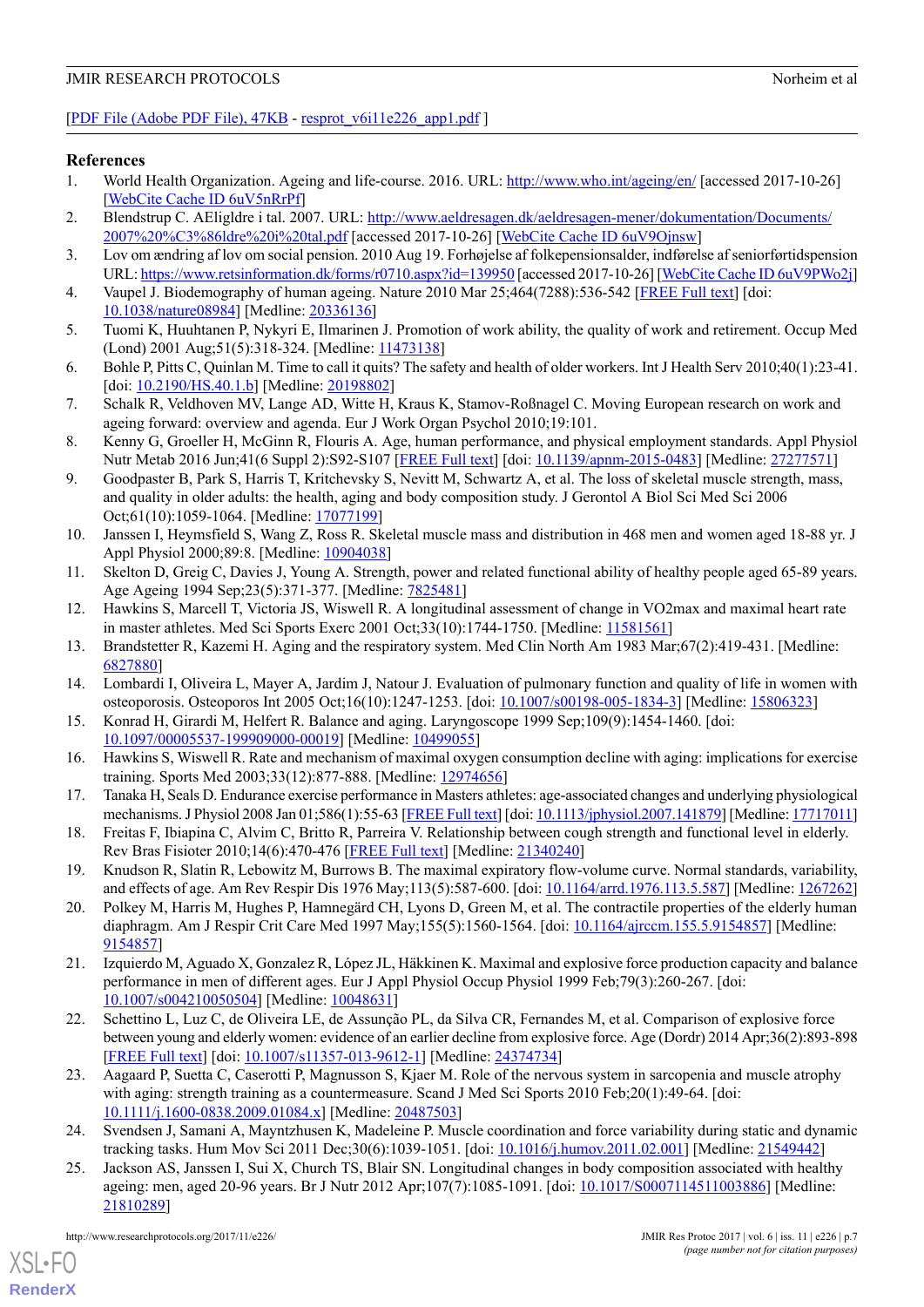# [[PDF File \(Adobe PDF File\), 47KB](https://www.researchprotocols.org/article/downloadSuppFile/8196/58309) - [resprot\\_v6i11e226\\_app1.pdf](https://www.researchprotocols.org/article/downloadSuppFile/8196/58309) ]

### <span id="page-6-0"></span>**References**

- <span id="page-6-1"></span>1. World Health Organization. Ageing and life-course. 2016. URL: <http://www.who.int/ageing/en/> [accessed 2017-10-26] [[WebCite Cache ID 6uV5nRrPf\]](http://www.webcitation.org/6uV5nRrPf)
- <span id="page-6-2"></span>2. Blendstrup C. AEligldre i tal. 2007. URL: [http://www.aeldresagen.dk/aeldresagen-mener/dokumentation/Documents/](http://www.aeldresagen.dk/aeldresagen-mener/dokumentation/Documents/2007%20%C3%86ldre%20i%20tal.pdf) [2007%20%C3%86ldre%20i%20tal.pdf](http://www.aeldresagen.dk/aeldresagen-mener/dokumentation/Documents/2007%20%C3%86ldre%20i%20tal.pdf) [accessed 2017-10-26] [\[WebCite Cache ID 6uV9Ojnsw](http://www.webcitation.org/6uV9Ojnsw)]
- <span id="page-6-3"></span>3. Lov om ændring af lov om social pension. 2010 Aug 19. Forhøjelse af folkepensionsalder, indførelse af seniorførtidspension URL:<https://www.retsinformation.dk/forms/r0710.aspx?id=139950> [accessed 2017-10-26] [[WebCite Cache ID 6uV9PWo2j\]](http://www.webcitation.org/6uV9PWo2j)
- <span id="page-6-4"></span>4. Vaupel J. Biodemography of human ageing. Nature 2010 Mar 25;464(7288):536-542 [\[FREE Full text\]](http://europepmc.org/abstract/MED/20336136) [doi: [10.1038/nature08984\]](http://dx.doi.org/10.1038/nature08984) [Medline: [20336136\]](http://www.ncbi.nlm.nih.gov/entrez/query.fcgi?cmd=Retrieve&db=PubMed&list_uids=20336136&dopt=Abstract)
- <span id="page-6-5"></span>5. Tuomi K, Huuhtanen P, Nykyri E, Ilmarinen J. Promotion of work ability, the quality of work and retirement. Occup Med (Lond) 2001 Aug; 51(5): 318-324. [Medline: [11473138\]](http://www.ncbi.nlm.nih.gov/entrez/query.fcgi?cmd=Retrieve&db=PubMed&list_uids=11473138&dopt=Abstract)
- 6. Bohle P, Pitts C, Quinlan M. Time to call it quits? The safety and health of older workers. Int J Health Serv 2010;40(1):23-41. [doi: [10.2190/HS.40.1.b](http://dx.doi.org/10.2190/HS.40.1.b)] [Medline: [20198802](http://www.ncbi.nlm.nih.gov/entrez/query.fcgi?cmd=Retrieve&db=PubMed&list_uids=20198802&dopt=Abstract)]
- <span id="page-6-6"></span>7. Schalk R, Veldhoven MV, Lange AD, Witte H, Kraus K, Stamov-Roßnagel C. Moving European research on work and ageing forward: overview and agenda. Eur J Work Organ Psychol 2010;19:101.
- <span id="page-6-7"></span>8. Kenny G, Groeller H, McGinn R, Flouris A. Age, human performance, and physical employment standards. Appl Physiol Nutr Metab 2016 Jun;41(6 Suppl 2):S92-S107 [[FREE Full text](http://www.nrcresearchpress.com/doi/abs/10.1139/apnm-2015-0483)] [doi: [10.1139/apnm-2015-0483](http://dx.doi.org/10.1139/apnm-2015-0483)] [Medline: [27277571\]](http://www.ncbi.nlm.nih.gov/entrez/query.fcgi?cmd=Retrieve&db=PubMed&list_uids=27277571&dopt=Abstract)
- 9. Goodpaster B, Park S, Harris T, Kritchevsky S, Nevitt M, Schwartz A, et al. The loss of skeletal muscle strength, mass, and quality in older adults: the health, aging and body composition study. J Gerontol A Biol Sci Med Sci 2006 Oct;61(10):1059-1064. [Medline: [17077199](http://www.ncbi.nlm.nih.gov/entrez/query.fcgi?cmd=Retrieve&db=PubMed&list_uids=17077199&dopt=Abstract)]
- <span id="page-6-9"></span><span id="page-6-8"></span>10. Janssen I, Heymsfield S, Wang Z, Ross R. Skeletal muscle mass and distribution in 468 men and women aged 18-88 yr. J Appl Physiol 2000;89:8. [Medline: [10904038\]](http://www.ncbi.nlm.nih.gov/entrez/query.fcgi?cmd=Retrieve&db=PubMed&list_uids=10904038&dopt=Abstract)
- <span id="page-6-10"></span>11. Skelton D, Greig C, Davies J, Young A. Strength, power and related functional ability of healthy people aged 65-89 years. Age Ageing 1994 Sep; 23(5): 371-377. [Medline: [7825481\]](http://www.ncbi.nlm.nih.gov/entrez/query.fcgi?cmd=Retrieve&db=PubMed&list_uids=7825481&dopt=Abstract)
- <span id="page-6-11"></span>12. Hawkins S, Marcell T, Victoria JS, Wiswell R. A longitudinal assessment of change in VO2max and maximal heart rate in master athletes. Med Sci Sports Exerc 2001 Oct;33(10):1744-1750. [Medline: [11581561](http://www.ncbi.nlm.nih.gov/entrez/query.fcgi?cmd=Retrieve&db=PubMed&list_uids=11581561&dopt=Abstract)]
- <span id="page-6-12"></span>13. Brandstetter R, Kazemi H. Aging and the respiratory system. Med Clin North Am 1983 Mar;67(2):419-431. [Medline: [6827880\]](http://www.ncbi.nlm.nih.gov/entrez/query.fcgi?cmd=Retrieve&db=PubMed&list_uids=6827880&dopt=Abstract)
- <span id="page-6-13"></span>14. Lombardi I, Oliveira L, Mayer A, Jardim J, Natour J. Evaluation of pulmonary function and quality of life in women with osteoporosis. Osteoporos Int 2005 Oct;16(10):1247-1253. [doi: [10.1007/s00198-005-1834-3](http://dx.doi.org/10.1007/s00198-005-1834-3)] [Medline: [15806323\]](http://www.ncbi.nlm.nih.gov/entrez/query.fcgi?cmd=Retrieve&db=PubMed&list_uids=15806323&dopt=Abstract)
- 15. Konrad H, Girardi M, Helfert R. Balance and aging. Laryngoscope 1999 Sep;109(9):1454-1460. [doi: [10.1097/00005537-199909000-00019](http://dx.doi.org/10.1097/00005537-199909000-00019)] [Medline: [10499055](http://www.ncbi.nlm.nih.gov/entrez/query.fcgi?cmd=Retrieve&db=PubMed&list_uids=10499055&dopt=Abstract)]
- <span id="page-6-14"></span>16. Hawkins S, Wiswell R. Rate and mechanism of maximal oxygen consumption decline with aging: implications for exercise training. Sports Med 2003;33(12):877-888. [Medline: [12974656\]](http://www.ncbi.nlm.nih.gov/entrez/query.fcgi?cmd=Retrieve&db=PubMed&list_uids=12974656&dopt=Abstract)
- <span id="page-6-15"></span>17. Tanaka H, Seals D. Endurance exercise performance in Masters athletes: age-associated changes and underlying physiological mechanisms. J Physiol 2008 Jan 01;586(1):55-63 [\[FREE Full text](http://dx.doi.org/10.1113/jphysiol.2007.141879)] [doi: [10.1113/jphysiol.2007.141879\]](http://dx.doi.org/10.1113/jphysiol.2007.141879) [Medline: [17717011](http://www.ncbi.nlm.nih.gov/entrez/query.fcgi?cmd=Retrieve&db=PubMed&list_uids=17717011&dopt=Abstract)]
- <span id="page-6-16"></span>18. Freitas F, Ibiapina C, Alvim C, Britto R, Parreira V. Relationship between cough strength and functional level in elderly. Rev Bras Fisioter 2010;14(6):470-476 [\[FREE Full text\]](http://www.scielo.br/scielo.php?script=sci_arttext&pid=S1413-35552010000600004&lng=en&nrm=iso&tlng=en) [Medline: [21340240\]](http://www.ncbi.nlm.nih.gov/entrez/query.fcgi?cmd=Retrieve&db=PubMed&list_uids=21340240&dopt=Abstract)
- <span id="page-6-17"></span>19. Knudson R, Slatin R, Lebowitz M, Burrows B. The maximal expiratory flow-volume curve. Normal standards, variability, and effects of age. Am Rev Respir Dis 1976 May;113(5):587-600. [doi: [10.1164/arrd.1976.113.5.587](http://dx.doi.org/10.1164/arrd.1976.113.5.587)] [Medline: [1267262](http://www.ncbi.nlm.nih.gov/entrez/query.fcgi?cmd=Retrieve&db=PubMed&list_uids=1267262&dopt=Abstract)]
- <span id="page-6-18"></span>20. Polkey M, Harris M, Hughes P, Hamnegärd CH, Lyons D, Green M, et al. The contractile properties of the elderly human diaphragm. Am J Respir Crit Care Med 1997 May;155(5):1560-1564. [doi: [10.1164/ajrccm.155.5.9154857](http://dx.doi.org/10.1164/ajrccm.155.5.9154857)] [Medline: [9154857\]](http://www.ncbi.nlm.nih.gov/entrez/query.fcgi?cmd=Retrieve&db=PubMed&list_uids=9154857&dopt=Abstract)
- <span id="page-6-19"></span>21. Izquierdo M, Aguado X, Gonzalez R, López JL, Häkkinen K. Maximal and explosive force production capacity and balance performance in men of different ages. Eur J Appl Physiol Occup Physiol 1999 Feb;79(3):260-267. [doi: [10.1007/s004210050504\]](http://dx.doi.org/10.1007/s004210050504) [Medline: [10048631](http://www.ncbi.nlm.nih.gov/entrez/query.fcgi?cmd=Retrieve&db=PubMed&list_uids=10048631&dopt=Abstract)]
- <span id="page-6-20"></span>22. Schettino L, Luz C, de Oliveira LE, de Assunção PL, da Silva CR, Fernandes M, et al. Comparison of explosive force between young and elderly women: evidence of an earlier decline from explosive force. Age (Dordr) 2014 Apr;36(2):893-898 [[FREE Full text](http://europepmc.org/abstract/MED/24374734)] [doi: [10.1007/s11357-013-9612-1](http://dx.doi.org/10.1007/s11357-013-9612-1)] [Medline: [24374734](http://www.ncbi.nlm.nih.gov/entrez/query.fcgi?cmd=Retrieve&db=PubMed&list_uids=24374734&dopt=Abstract)]
- <span id="page-6-21"></span>23. Aagaard P, Suetta C, Caserotti P, Magnusson S, Kjaer M. Role of the nervous system in sarcopenia and muscle atrophy with aging: strength training as a countermeasure. Scand J Med Sci Sports 2010 Feb;20(1):49-64. [doi: [10.1111/j.1600-0838.2009.01084.x\]](http://dx.doi.org/10.1111/j.1600-0838.2009.01084.x) [Medline: [20487503](http://www.ncbi.nlm.nih.gov/entrez/query.fcgi?cmd=Retrieve&db=PubMed&list_uids=20487503&dopt=Abstract)]
- 24. Svendsen J, Samani A, Mayntzhusen K, Madeleine P. Muscle coordination and force variability during static and dynamic tracking tasks. Hum Mov Sci 2011 Dec;30(6):1039-1051. [doi: [10.1016/j.humov.2011.02.001\]](http://dx.doi.org/10.1016/j.humov.2011.02.001) [Medline: [21549442](http://www.ncbi.nlm.nih.gov/entrez/query.fcgi?cmd=Retrieve&db=PubMed&list_uids=21549442&dopt=Abstract)]
- 25. Jackson AS, Janssen I, Sui X, Church TS, Blair SN. Longitudinal changes in body composition associated with healthy ageing: men, aged 20-96 years. Br J Nutr 2012 Apr;107(7):1085-1091. [doi: [10.1017/S0007114511003886\]](http://dx.doi.org/10.1017/S0007114511003886) [Medline: [21810289](http://www.ncbi.nlm.nih.gov/entrez/query.fcgi?cmd=Retrieve&db=PubMed&list_uids=21810289&dopt=Abstract)]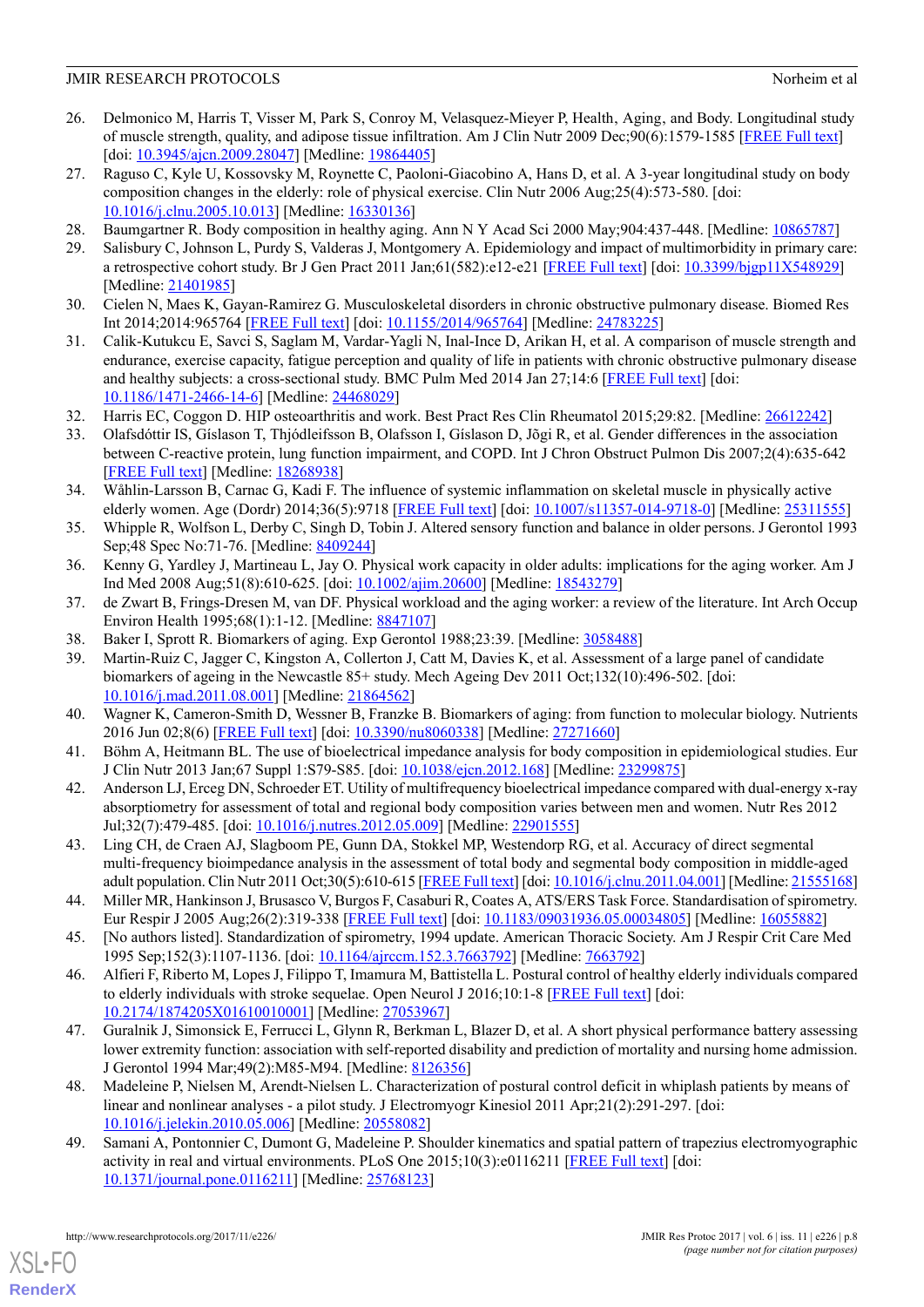- <span id="page-7-0"></span>26. Delmonico M, Harris T, Visser M, Park S, Conroy M, Velasquez-Mieyer P, Health, Aging, and Body. Longitudinal study of muscle strength, quality, and adipose tissue infiltration. Am J Clin Nutr 2009 Dec;90(6):1579-1585 [[FREE Full text](http://www.ajcn.org/cgi/pmidlookup?view=long&pmid=19864405)] [doi: [10.3945/ajcn.2009.28047\]](http://dx.doi.org/10.3945/ajcn.2009.28047) [Medline: [19864405\]](http://www.ncbi.nlm.nih.gov/entrez/query.fcgi?cmd=Retrieve&db=PubMed&list_uids=19864405&dopt=Abstract)
- <span id="page-7-1"></span>27. Raguso C, Kyle U, Kossovsky M, Roynette C, Paoloni-Giacobino A, Hans D, et al. A 3-year longitudinal study on body composition changes in the elderly: role of physical exercise. Clin Nutr 2006 Aug;25(4):573-580. [doi: [10.1016/j.clnu.2005.10.013\]](http://dx.doi.org/10.1016/j.clnu.2005.10.013) [Medline: [16330136](http://www.ncbi.nlm.nih.gov/entrez/query.fcgi?cmd=Retrieve&db=PubMed&list_uids=16330136&dopt=Abstract)]
- <span id="page-7-3"></span><span id="page-7-2"></span>28. Baumgartner R. Body composition in healthy aging. Ann N Y Acad Sci 2000 May;904:437-448. [Medline: [10865787\]](http://www.ncbi.nlm.nih.gov/entrez/query.fcgi?cmd=Retrieve&db=PubMed&list_uids=10865787&dopt=Abstract)
- <span id="page-7-4"></span>29. Salisbury C, Johnson L, Purdy S, Valderas J, Montgomery A. Epidemiology and impact of multimorbidity in primary care: a retrospective cohort study. Br J Gen Pract 2011 Jan;61(582):e12-e21 [\[FREE Full text\]](http://bjgp.org/cgi/pmidlookup?view=long&pmid=21401985) [doi: [10.3399/bjgp11X548929\]](http://dx.doi.org/10.3399/bjgp11X548929) [Medline: [21401985](http://www.ncbi.nlm.nih.gov/entrez/query.fcgi?cmd=Retrieve&db=PubMed&list_uids=21401985&dopt=Abstract)]
- <span id="page-7-5"></span>30. Cielen N, Maes K, Gayan-Ramirez G. Musculoskeletal disorders in chronic obstructive pulmonary disease. Biomed Res Int 2014;2014:965764 [[FREE Full text\]](https://dx.doi.org/10.1155/2014/965764) [doi: [10.1155/2014/965764\]](http://dx.doi.org/10.1155/2014/965764) [Medline: [24783225\]](http://www.ncbi.nlm.nih.gov/entrez/query.fcgi?cmd=Retrieve&db=PubMed&list_uids=24783225&dopt=Abstract)
- <span id="page-7-6"></span>31. Calik-Kutukcu E, Savci S, Saglam M, Vardar-Yagli N, Inal-Ince D, Arikan H, et al. A comparison of muscle strength and endurance, exercise capacity, fatigue perception and quality of life in patients with chronic obstructive pulmonary disease and healthy subjects: a cross-sectional study. BMC Pulm Med 2014 Jan 27;14:6 [\[FREE Full text\]](https://bmcpulmmed.biomedcentral.com/articles/10.1186/1471-2466-14-6) [doi: [10.1186/1471-2466-14-6](http://dx.doi.org/10.1186/1471-2466-14-6)] [Medline: [24468029](http://www.ncbi.nlm.nih.gov/entrez/query.fcgi?cmd=Retrieve&db=PubMed&list_uids=24468029&dopt=Abstract)]
- <span id="page-7-7"></span>32. Harris EC, Coggon D. HIP osteoarthritis and work. Best Pract Res Clin Rheumatol 2015;29:82. [Medline: [26612242](http://www.ncbi.nlm.nih.gov/entrez/query.fcgi?cmd=Retrieve&db=PubMed&list_uids=26612242&dopt=Abstract)]
- <span id="page-7-8"></span>33. Olafsdóttir IS, Gíslason T, Thjódleifsson B, Olafsson I, Gíslason D, Jõgi R, et al. Gender differences in the association between C-reactive protein, lung function impairment, and COPD. Int J Chron Obstruct Pulmon Dis 2007;2(4):635-642 [[FREE Full text](https://www.dovepress.com/articles.php?article_id=552)] [Medline: [18268938](http://www.ncbi.nlm.nih.gov/entrez/query.fcgi?cmd=Retrieve&db=PubMed&list_uids=18268938&dopt=Abstract)]
- <span id="page-7-9"></span>34. Wåhlin-Larsson B, Carnac G, Kadi F. The influence of systemic inflammation on skeletal muscle in physically active elderly women. Age (Dordr) 2014;36(5):9718 [\[FREE Full text\]](http://europepmc.org/abstract/MED/25311555) [doi: [10.1007/s11357-014-9718-0\]](http://dx.doi.org/10.1007/s11357-014-9718-0) [Medline: [25311555](http://www.ncbi.nlm.nih.gov/entrez/query.fcgi?cmd=Retrieve&db=PubMed&list_uids=25311555&dopt=Abstract)]
- <span id="page-7-11"></span><span id="page-7-10"></span>35. Whipple R, Wolfson L, Derby C, Singh D, Tobin J. Altered sensory function and balance in older persons. J Gerontol 1993 Sep;48 Spec No:71-76. [Medline: [8409244\]](http://www.ncbi.nlm.nih.gov/entrez/query.fcgi?cmd=Retrieve&db=PubMed&list_uids=8409244&dopt=Abstract)
- <span id="page-7-12"></span>36. Kenny G, Yardley J, Martineau L, Jay O. Physical work capacity in older adults: implications for the aging worker. Am J Ind Med 2008 Aug;51(8):610-625. [doi: [10.1002/ajim.20600](http://dx.doi.org/10.1002/ajim.20600)] [Medline: [18543279](http://www.ncbi.nlm.nih.gov/entrez/query.fcgi?cmd=Retrieve&db=PubMed&list_uids=18543279&dopt=Abstract)]
- <span id="page-7-13"></span>37. de Zwart B, Frings-Dresen M, van DF. Physical workload and the aging worker: a review of the literature. Int Arch Occup Environ Health 1995;68(1):1-12. [Medline: [8847107\]](http://www.ncbi.nlm.nih.gov/entrez/query.fcgi?cmd=Retrieve&db=PubMed&list_uids=8847107&dopt=Abstract)
- <span id="page-7-14"></span>38. Baker I, Sprott R. Biomarkers of aging. Exp Gerontol 1988;23:39. [Medline: [3058488\]](http://www.ncbi.nlm.nih.gov/entrez/query.fcgi?cmd=Retrieve&db=PubMed&list_uids=3058488&dopt=Abstract)
- <span id="page-7-15"></span>39. Martin-Ruiz C, Jagger C, Kingston A, Collerton J, Catt M, Davies K, et al. Assessment of a large panel of candidate biomarkers of ageing in the Newcastle 85+ study. Mech Ageing Dev 2011 Oct;132(10):496-502. [doi: [10.1016/j.mad.2011.08.001](http://dx.doi.org/10.1016/j.mad.2011.08.001)] [Medline: [21864562](http://www.ncbi.nlm.nih.gov/entrez/query.fcgi?cmd=Retrieve&db=PubMed&list_uids=21864562&dopt=Abstract)]
- <span id="page-7-16"></span>40. Wagner K, Cameron-Smith D, Wessner B, Franzke B. Biomarkers of aging: from function to molecular biology. Nutrients 2016 Jun 02;8(6) [[FREE Full text](http://www.mdpi.com/resolver?pii=nu8060338)] [doi: [10.3390/nu8060338\]](http://dx.doi.org/10.3390/nu8060338) [Medline: [27271660](http://www.ncbi.nlm.nih.gov/entrez/query.fcgi?cmd=Retrieve&db=PubMed&list_uids=27271660&dopt=Abstract)]
- <span id="page-7-17"></span>41. Böhm A, Heitmann BL. The use of bioelectrical impedance analysis for body composition in epidemiological studies. Eur J Clin Nutr 2013 Jan;67 Suppl 1:S79-S85. [doi: [10.1038/ejcn.2012.168\]](http://dx.doi.org/10.1038/ejcn.2012.168) [Medline: [23299875\]](http://www.ncbi.nlm.nih.gov/entrez/query.fcgi?cmd=Retrieve&db=PubMed&list_uids=23299875&dopt=Abstract)
- <span id="page-7-18"></span>42. Anderson LJ, Erceg DN, Schroeder ET. Utility of multifrequency bioelectrical impedance compared with dual-energy x-ray absorptiometry for assessment of total and regional body composition varies between men and women. Nutr Res 2012 Jul;32(7):479-485. [doi: [10.1016/j.nutres.2012.05.009](http://dx.doi.org/10.1016/j.nutres.2012.05.009)] [Medline: [22901555](http://www.ncbi.nlm.nih.gov/entrez/query.fcgi?cmd=Retrieve&db=PubMed&list_uids=22901555&dopt=Abstract)]
- <span id="page-7-19"></span>43. Ling CH, de Craen AJ, Slagboom PE, Gunn DA, Stokkel MP, Westendorp RG, et al. Accuracy of direct segmental multi-frequency bioimpedance analysis in the assessment of total body and segmental body composition in middle-aged adult population. Clin Nutr 2011 Oct;30(5):610-615 [[FREE Full text](https://linkinghub.elsevier.com/retrieve/pii/S0261-5614(11)00066-5)] [doi: [10.1016/j.clnu.2011.04.001](http://dx.doi.org/10.1016/j.clnu.2011.04.001)] [Medline: [21555168\]](http://www.ncbi.nlm.nih.gov/entrez/query.fcgi?cmd=Retrieve&db=PubMed&list_uids=21555168&dopt=Abstract)
- <span id="page-7-20"></span>44. Miller MR, Hankinson J, Brusasco V, Burgos F, Casaburi R, Coates A, ATS/ERS Task Force. Standardisation of spirometry. Eur Respir J 2005 Aug;26(2):319-338 [\[FREE Full text\]](http://erj.ersjournals.com/cgi/pmidlookup?view=long&pmid=16055882) [doi: [10.1183/09031936.05.00034805](http://dx.doi.org/10.1183/09031936.05.00034805)] [Medline: [16055882\]](http://www.ncbi.nlm.nih.gov/entrez/query.fcgi?cmd=Retrieve&db=PubMed&list_uids=16055882&dopt=Abstract)
- <span id="page-7-21"></span>45. [No authors listed]. Standardization of spirometry, 1994 update. American Thoracic Society. Am J Respir Crit Care Med 1995 Sep;152(3):1107-1136. [doi: [10.1164/ajrccm.152.3.7663792\]](http://dx.doi.org/10.1164/ajrccm.152.3.7663792) [Medline: [7663792](http://www.ncbi.nlm.nih.gov/entrez/query.fcgi?cmd=Retrieve&db=PubMed&list_uids=7663792&dopt=Abstract)]
- <span id="page-7-22"></span>46. Alfieri F, Riberto M, Lopes J, Filippo T, Imamura M, Battistella L. Postural control of healthy elderly individuals compared to elderly individuals with stroke sequelae. Open Neurol J 2016;10:1-8 [[FREE Full text](http://europepmc.org/abstract/MED/27053967)] [doi: [10.2174/1874205X01610010001](http://dx.doi.org/10.2174/1874205X01610010001)] [Medline: [27053967\]](http://www.ncbi.nlm.nih.gov/entrez/query.fcgi?cmd=Retrieve&db=PubMed&list_uids=27053967&dopt=Abstract)
- <span id="page-7-23"></span>47. Guralnik J, Simonsick E, Ferrucci L, Glynn R, Berkman L, Blazer D, et al. A short physical performance battery assessing lower extremity function: association with self-reported disability and prediction of mortality and nursing home admission. J Gerontol 1994 Mar;49(2):M85-M94. [Medline: [8126356](http://www.ncbi.nlm.nih.gov/entrez/query.fcgi?cmd=Retrieve&db=PubMed&list_uids=8126356&dopt=Abstract)]
- 48. Madeleine P, Nielsen M, Arendt-Nielsen L. Characterization of postural control deficit in whiplash patients by means of linear and nonlinear analyses - a pilot study. J Electromyogr Kinesiol 2011 Apr;21(2):291-297. [doi: [10.1016/j.jelekin.2010.05.006\]](http://dx.doi.org/10.1016/j.jelekin.2010.05.006) [Medline: [20558082](http://www.ncbi.nlm.nih.gov/entrez/query.fcgi?cmd=Retrieve&db=PubMed&list_uids=20558082&dopt=Abstract)]
- 49. Samani A, Pontonnier C, Dumont G, Madeleine P. Shoulder kinematics and spatial pattern of trapezius electromyographic activity in real and virtual environments. PLoS One 2015;10(3):e0116211 [\[FREE Full text\]](http://dx.plos.org/10.1371/journal.pone.0116211) [doi: [10.1371/journal.pone.0116211\]](http://dx.doi.org/10.1371/journal.pone.0116211) [Medline: [25768123](http://www.ncbi.nlm.nih.gov/entrez/query.fcgi?cmd=Retrieve&db=PubMed&list_uids=25768123&dopt=Abstract)]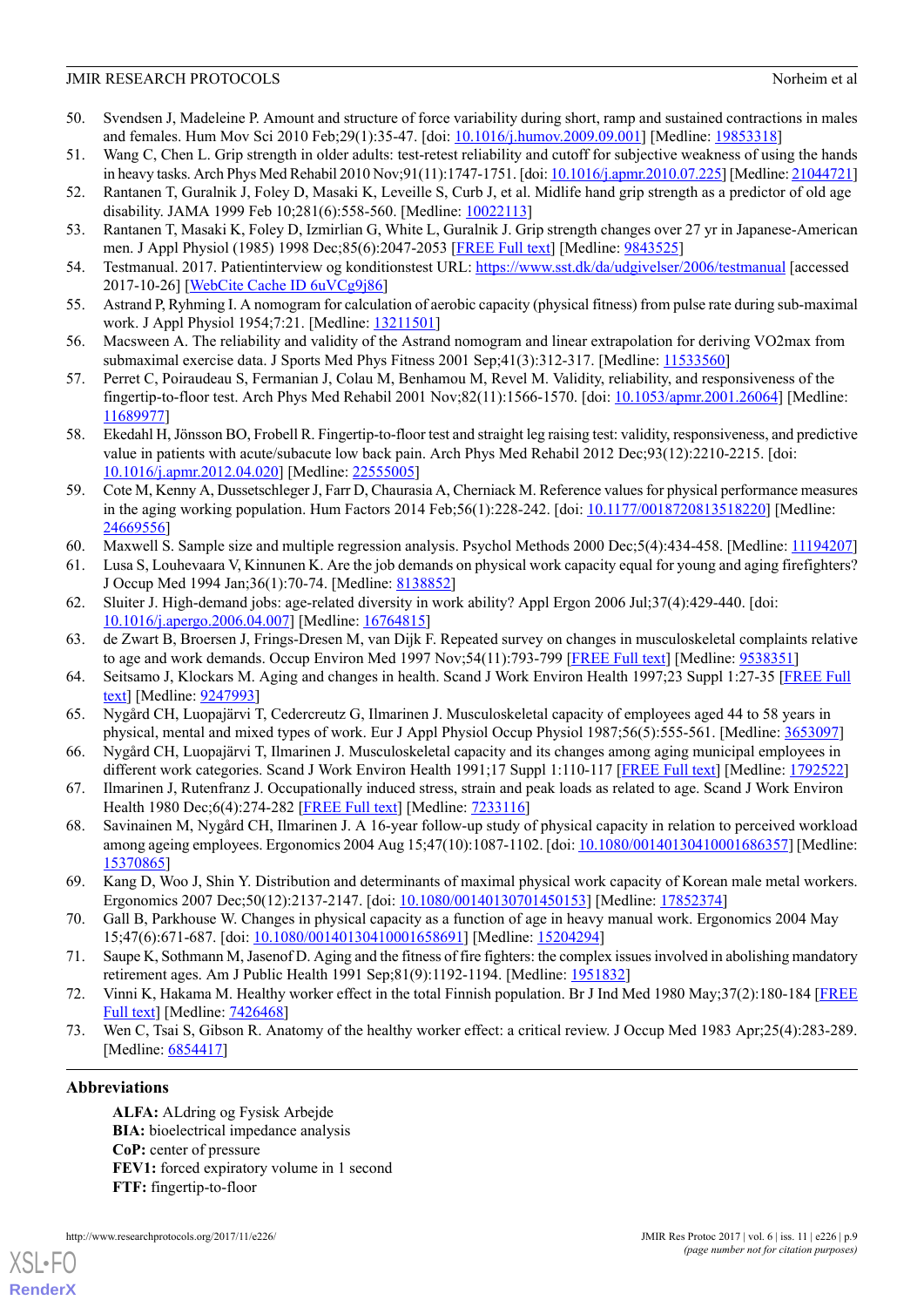- <span id="page-8-0"></span>50. Svendsen J, Madeleine P. Amount and structure of force variability during short, ramp and sustained contractions in males and females. Hum Mov Sci 2010 Feb;29(1):35-47. [doi: [10.1016/j.humov.2009.09.001](http://dx.doi.org/10.1016/j.humov.2009.09.001)] [Medline: [19853318\]](http://www.ncbi.nlm.nih.gov/entrez/query.fcgi?cmd=Retrieve&db=PubMed&list_uids=19853318&dopt=Abstract)
- <span id="page-8-2"></span><span id="page-8-1"></span>51. Wang C, Chen L. Grip strength in older adults: test-retest reliability and cutoff for subjective weakness of using the hands in heavy tasks. Arch Phys Med Rehabil 2010 Nov;91(11):1747-1751. [doi: [10.1016/j.apmr.2010.07.225](http://dx.doi.org/10.1016/j.apmr.2010.07.225)] [Medline: [21044721\]](http://www.ncbi.nlm.nih.gov/entrez/query.fcgi?cmd=Retrieve&db=PubMed&list_uids=21044721&dopt=Abstract)
- <span id="page-8-3"></span>52. Rantanen T, Guralnik J, Foley D, Masaki K, Leveille S, Curb J, et al. Midlife hand grip strength as a predictor of old age disability. JAMA 1999 Feb 10;281(6):558-560. [Medline: [10022113\]](http://www.ncbi.nlm.nih.gov/entrez/query.fcgi?cmd=Retrieve&db=PubMed&list_uids=10022113&dopt=Abstract)
- <span id="page-8-4"></span>53. Rantanen T, Masaki K, Foley D, Izmirlian G, White L, Guralnik J. Grip strength changes over 27 yr in Japanese-American men. J Appl Physiol (1985) 1998 Dec;85(6):2047-2053 [\[FREE Full text\]](http://jap.physiology.org/cgi/pmidlookup?view=long&pmid=9843525) [Medline: [9843525](http://www.ncbi.nlm.nih.gov/entrez/query.fcgi?cmd=Retrieve&db=PubMed&list_uids=9843525&dopt=Abstract)]
- <span id="page-8-5"></span>54. Testmanual. 2017. Patientinterview og konditionstest URL: <https://www.sst.dk/da/udgivelser/2006/testmanual> [accessed 2017-10-26] [\[WebCite Cache ID 6uVCg9j86\]](http://www.webcitation.org/6uVCg9j86)
- <span id="page-8-6"></span>55. Astrand P, Ryhming I. A nomogram for calculation of aerobic capacity (physical fitness) from pulse rate during sub-maximal work. J Appl Physiol 1954;7:21. [Medline: [13211501](http://www.ncbi.nlm.nih.gov/entrez/query.fcgi?cmd=Retrieve&db=PubMed&list_uids=13211501&dopt=Abstract)]
- <span id="page-8-7"></span>56. Macsween A. The reliability and validity of the Astrand nomogram and linear extrapolation for deriving VO2max from submaximal exercise data. J Sports Med Phys Fitness 2001 Sep;41(3):312-317. [Medline: [11533560](http://www.ncbi.nlm.nih.gov/entrez/query.fcgi?cmd=Retrieve&db=PubMed&list_uids=11533560&dopt=Abstract)]
- <span id="page-8-8"></span>57. Perret C, Poiraudeau S, Fermanian J, Colau M, Benhamou M, Revel M. Validity, reliability, and responsiveness of the fingertip-to-floor test. Arch Phys Med Rehabil 2001 Nov;82(11):1566-1570. [doi: [10.1053/apmr.2001.26064](http://dx.doi.org/10.1053/apmr.2001.26064)] [Medline: [11689977](http://www.ncbi.nlm.nih.gov/entrez/query.fcgi?cmd=Retrieve&db=PubMed&list_uids=11689977&dopt=Abstract)]
- <span id="page-8-9"></span>58. Ekedahl H, Jönsson BO, Frobell R. Fingertip-to-floor test and straight leg raising test: validity, responsiveness, and predictive value in patients with acute/subacute low back pain. Arch Phys Med Rehabil 2012 Dec;93(12):2210-2215. [doi: [10.1016/j.apmr.2012.04.020\]](http://dx.doi.org/10.1016/j.apmr.2012.04.020) [Medline: [22555005](http://www.ncbi.nlm.nih.gov/entrez/query.fcgi?cmd=Retrieve&db=PubMed&list_uids=22555005&dopt=Abstract)]
- <span id="page-8-11"></span><span id="page-8-10"></span>59. Cote M, Kenny A, Dussetschleger J, Farr D, Chaurasia A, Cherniack M. Reference values for physical performance measures in the aging working population. Hum Factors 2014 Feb;56(1):228-242. [doi: [10.1177/0018720813518220](http://dx.doi.org/10.1177/0018720813518220)] [Medline: [24669556](http://www.ncbi.nlm.nih.gov/entrez/query.fcgi?cmd=Retrieve&db=PubMed&list_uids=24669556&dopt=Abstract)]
- <span id="page-8-12"></span>60. Maxwell S. Sample size and multiple regression analysis. Psychol Methods 2000 Dec;5(4):434-458. [Medline: [11194207](http://www.ncbi.nlm.nih.gov/entrez/query.fcgi?cmd=Retrieve&db=PubMed&list_uids=11194207&dopt=Abstract)]
- <span id="page-8-13"></span>61. Lusa S, Louhevaara V, Kinnunen K. Are the job demands on physical work capacity equal for young and aging firefighters? J Occup Med 1994 Jan;36(1):70-74. [Medline: [8138852](http://www.ncbi.nlm.nih.gov/entrez/query.fcgi?cmd=Retrieve&db=PubMed&list_uids=8138852&dopt=Abstract)]
- <span id="page-8-14"></span>62. Sluiter J. High-demand jobs: age-related diversity in work ability? Appl Ergon 2006 Jul;37(4):429-440. [doi: [10.1016/j.apergo.2006.04.007\]](http://dx.doi.org/10.1016/j.apergo.2006.04.007) [Medline: [16764815](http://www.ncbi.nlm.nih.gov/entrez/query.fcgi?cmd=Retrieve&db=PubMed&list_uids=16764815&dopt=Abstract)]
- <span id="page-8-15"></span>63. de Zwart B, Broersen J, Frings-Dresen M, van Dijk F. Repeated survey on changes in musculoskeletal complaints relative to age and work demands. Occup Environ Med 1997 Nov;54(11):793-799 [\[FREE Full text\]](http://oem.bmj.com/cgi/pmidlookup?view=long&pmid=9538351) [Medline: [9538351\]](http://www.ncbi.nlm.nih.gov/entrez/query.fcgi?cmd=Retrieve&db=PubMed&list_uids=9538351&dopt=Abstract)
- 64. Seitsamo J, Klockars M. Aging and changes in health. Scand J Work Environ Health 1997;23 Suppl 1:27-35 [\[FREE Full](http://www.sjweh.fi/show_abstract.php?abstract_id=210) [text\]](http://www.sjweh.fi/show_abstract.php?abstract_id=210) [Medline: [9247993](http://www.ncbi.nlm.nih.gov/entrez/query.fcgi?cmd=Retrieve&db=PubMed&list_uids=9247993&dopt=Abstract)]
- <span id="page-8-17"></span>65. Nygård CH, Luopajärvi T, Cedercreutz G, Ilmarinen J. Musculoskeletal capacity of employees aged 44 to 58 years in physical, mental and mixed types of work. Eur J Appl Physiol Occup Physiol 1987;56(5):555-561. [Medline: [3653097\]](http://www.ncbi.nlm.nih.gov/entrez/query.fcgi?cmd=Retrieve&db=PubMed&list_uids=3653097&dopt=Abstract)
- <span id="page-8-16"></span>66. Nygård CH, Luopajärvi T, Ilmarinen J. Musculoskeletal capacity and its changes among aging municipal employees in different work categories. Scand J Work Environ Health 1991;17 Suppl 1:110-117 [[FREE Full text](http://www.sjweh.fi/show_abstract.php?abstract_id=1758)] [Medline: [1792522\]](http://www.ncbi.nlm.nih.gov/entrez/query.fcgi?cmd=Retrieve&db=PubMed&list_uids=1792522&dopt=Abstract)
- <span id="page-8-18"></span>67. Ilmarinen J, Rutenfranz J. Occupationally induced stress, strain and peak loads as related to age. Scand J Work Environ Health 1980 Dec;6(4):274-282 [[FREE Full text](http://www.sjweh.fi/show_abstract.php?abstract_id=2607)] [Medline: [7233116](http://www.ncbi.nlm.nih.gov/entrez/query.fcgi?cmd=Retrieve&db=PubMed&list_uids=7233116&dopt=Abstract)]
- <span id="page-8-19"></span>68. Savinainen M, Nygård CH, Ilmarinen J. A 16-year follow-up study of physical capacity in relation to perceived workload among ageing employees. Ergonomics 2004 Aug 15;47(10):1087-1102. [doi: [10.1080/00140130410001686357](http://dx.doi.org/10.1080/00140130410001686357)] [Medline: [15370865](http://www.ncbi.nlm.nih.gov/entrez/query.fcgi?cmd=Retrieve&db=PubMed&list_uids=15370865&dopt=Abstract)]
- <span id="page-8-21"></span><span id="page-8-20"></span>69. Kang D, Woo J, Shin Y. Distribution and determinants of maximal physical work capacity of Korean male metal workers. Ergonomics 2007 Dec;50(12):2137-2147. [doi: [10.1080/00140130701450153\]](http://dx.doi.org/10.1080/00140130701450153) [Medline: [17852374\]](http://www.ncbi.nlm.nih.gov/entrez/query.fcgi?cmd=Retrieve&db=PubMed&list_uids=17852374&dopt=Abstract)
- <span id="page-8-22"></span>70. Gall B, Parkhouse W. Changes in physical capacity as a function of age in heavy manual work. Ergonomics 2004 May 15;47(6):671-687. [doi: [10.1080/00140130410001658691\]](http://dx.doi.org/10.1080/00140130410001658691) [Medline: [15204294](http://www.ncbi.nlm.nih.gov/entrez/query.fcgi?cmd=Retrieve&db=PubMed&list_uids=15204294&dopt=Abstract)]
- 71. Saupe K, Sothmann M, Jasenof D. Aging and the fitness of fire fighters: the complex issues involved in abolishing mandatory retirement ages. Am J Public Health 1991 Sep;81(9):1192-1194. [Medline: [1951832\]](http://www.ncbi.nlm.nih.gov/entrez/query.fcgi?cmd=Retrieve&db=PubMed&list_uids=1951832&dopt=Abstract)
- 72. Vinni K, Hakama M. Healthy worker effect in the total Finnish population. Br J Ind Med 1980 May;37(2):180-184 [\[FREE](http://oem.bmj.com/cgi/pmidlookup?view=long&pmid=7426468) [Full text](http://oem.bmj.com/cgi/pmidlookup?view=long&pmid=7426468)] [Medline: [7426468\]](http://www.ncbi.nlm.nih.gov/entrez/query.fcgi?cmd=Retrieve&db=PubMed&list_uids=7426468&dopt=Abstract)
- 73. Wen C, Tsai S, Gibson R. Anatomy of the healthy worker effect: a critical review. J Occup Med 1983 Apr;25(4):283-289. [Medline: [6854417](http://www.ncbi.nlm.nih.gov/entrez/query.fcgi?cmd=Retrieve&db=PubMed&list_uids=6854417&dopt=Abstract)]

# **Abbreviations**

[XSL](http://www.w3.org/Style/XSL)•FO **[RenderX](http://www.renderx.com/)**

**ALFA:** ALdring og Fysisk Arbejde **BIA:** bioelectrical impedance analysis **CoP:** center of pressure **FEV1:** forced expiratory volume in 1 second **FTF:** fingertip-to-floor